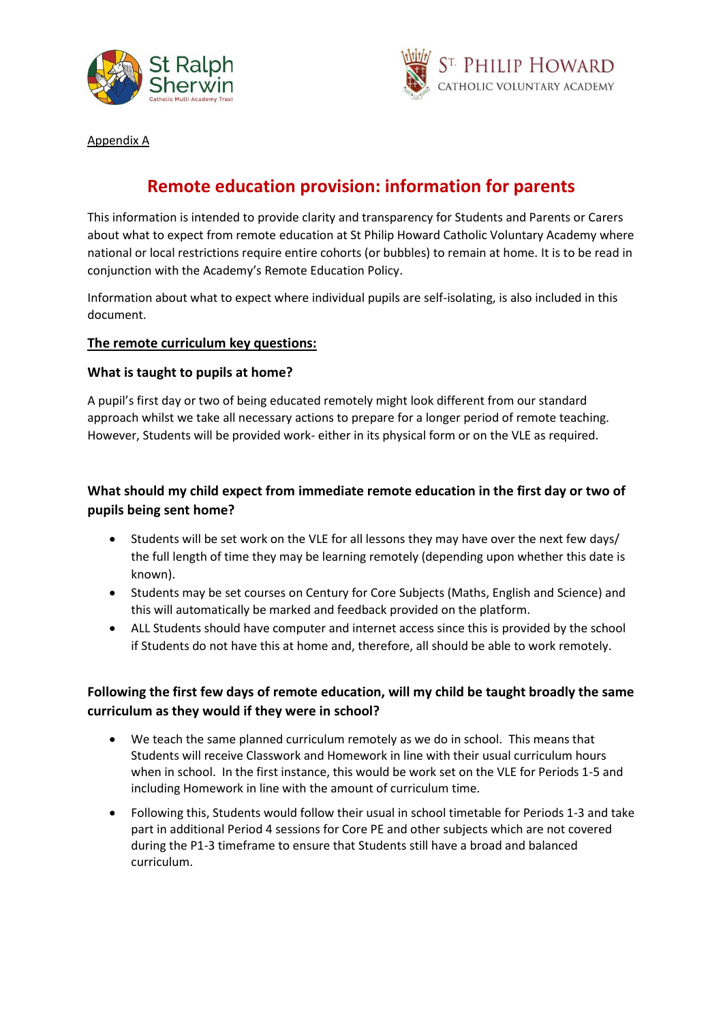



Appendix A

# **Remote education provision: information for parents**

This information is intended to provide clarity and transparency for Students and Parents or Carers about what to expect from remote education at St Philip Howard Catholic Voluntary Academy where national or local restrictions require entire cohorts (or bubbles) to remain at home. It is to be read in conjunction with the Academy's Remote Education Policy.

Information about what to expect where individual pupils are self-isolating, is also included in this document.

### **The remote curriculum key questions:**

### **What is taught to pupils at home?**

A pupil's first day or two of being educated remotely might look different from our standard approach whilst we take all necessary actions to prepare for a longer period of remote teaching. However, Students will be provided work- either in its physical form or on the VLE as required.

### **What should my child expect from immediate remote education in the first day or two of pupils being sent home?**

- Students will be set work on the VLE for all lessons they may have over the next few days/ the full length of time they may be learning remotely (depending upon whether this date is known).
- Students may be set courses on Century for Core Subjects (Maths, English and Science) and this will automatically be marked and feedback provided on the platform.
- ALL Students should have computer and internet access since this is provided by the school if Students do not have this at home and, therefore, all should be able to work remotely.

## **Following the first few days of remote education, will my child be taught broadly the same curriculum as they would if they were in school?**

- We teach the same planned curriculum remotely as we do in school. This means that Students will receive Classwork and Homework in line with their usual curriculum hours when in school. In the first instance, this would be work set on the VLE for Periods 1-5 and including Homework in line with the amount of curriculum time.
- Following this, Students would follow their usual in school timetable for Periods 1-3 and take part in additional Period 4 sessions for Core PE and other subjects which are not covered during the P1-3 timeframe to ensure that Students still have a broad and balanced curriculum.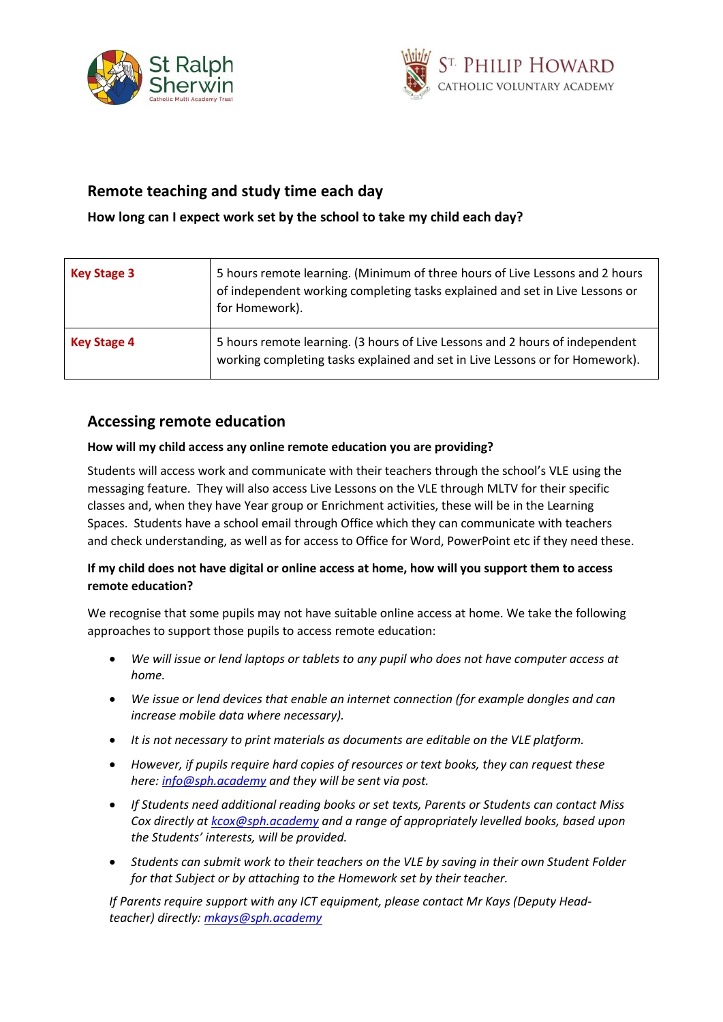



# **Remote teaching and study time each day**

### **How long can I expect work set by the school to take my child each day?**

| <b>Key Stage 3</b> | 5 hours remote learning. (Minimum of three hours of Live Lessons and 2 hours<br>of independent working completing tasks explained and set in Live Lessons or<br>for Homework). |
|--------------------|--------------------------------------------------------------------------------------------------------------------------------------------------------------------------------|
| <b>Key Stage 4</b> | 5 hours remote learning. (3 hours of Live Lessons and 2 hours of independent<br>working completing tasks explained and set in Live Lessons or for Homework).                   |

## **Accessing remote education**

#### **How will my child access any online remote education you are providing?**

Students will access work and communicate with their teachers through the school's VLE using the messaging feature. They will also access Live Lessons on the VLE through MLTV for their specific classes and, when they have Year group or Enrichment activities, these will be in the Learning Spaces. Students have a school email through Office which they can communicate with teachers and check understanding, as well as for access to Office for Word, PowerPoint etc if they need these.

### **If my child does not have digital or online access at home, how will you support them to access remote education?**

We recognise that some pupils may not have suitable online access at home. We take the following approaches to support those pupils to access remote education:

- *We will issue or lend laptops or tablets to any pupil who does not have computer access at home.*
- *We issue or lend devices that enable an internet connection (for example dongles and can increase mobile data where necessary).*
- *It is not necessary to print materials as documents are editable on the VLE platform.*
- *However, if pupils require hard copies of resources or text books, they can request these here[: info@sph.academy](mailto:info@sph.academy) and they will be sent via post.*
- *If Students need additional reading books or set texts, Parents or Students can contact Miss Cox directly at [kcox@sph.academy](mailto:kcox@sph.academy) and a range of appropriately levelled books, based upon the Students' interests, will be provided.*
- *Students can submit work to their teachers on the VLE by saving in their own Student Folder for that Subject or by attaching to the Homework set by their teacher.*

*If Parents require support with any ICT equipment, please contact Mr Kays (Deputy Headteacher) directly: [mkays@sph.academy](mailto:mkays@sph.academy)*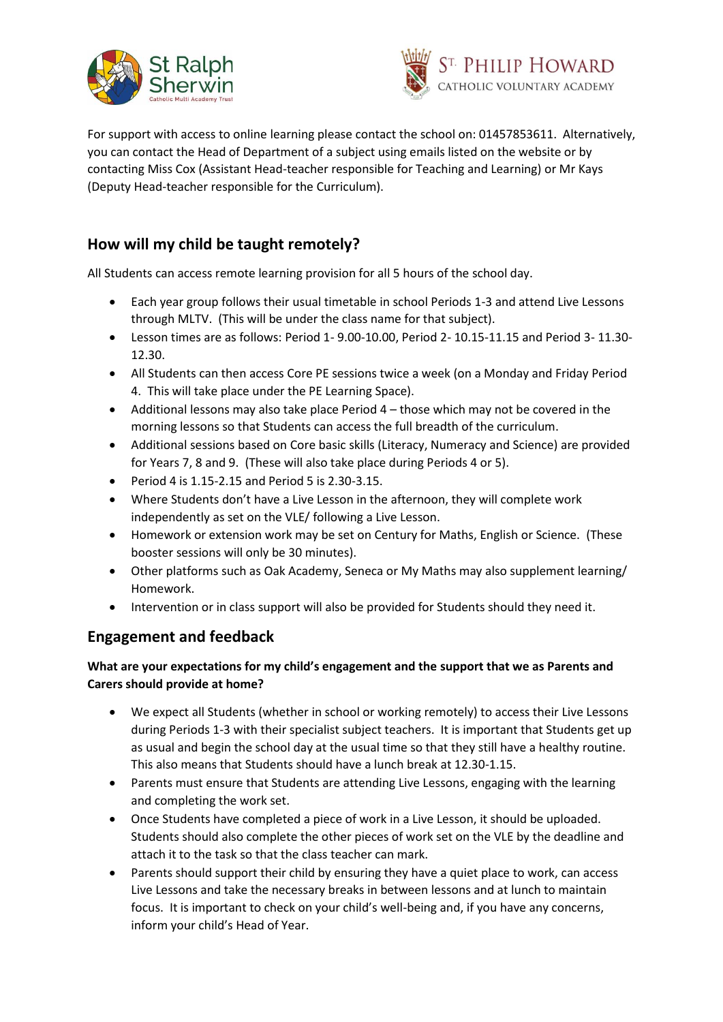



For support with access to online learning please contact the school on: 01457853611. Alternatively, you can contact the Head of Department of a subject using emails listed on the website or by contacting Miss Cox (Assistant Head-teacher responsible for Teaching and Learning) or Mr Kays (Deputy Head-teacher responsible for the Curriculum).

# **How will my child be taught remotely?**

All Students can access remote learning provision for all 5 hours of the school day.

- Each year group follows their usual timetable in school Periods 1-3 and attend Live Lessons through MLTV. (This will be under the class name for that subject).
- Lesson times are as follows: Period 1- 9.00-10.00, Period 2- 10.15-11.15 and Period 3- 11.30- 12.30.
- All Students can then access Core PE sessions twice a week (on a Monday and Friday Period 4. This will take place under the PE Learning Space).
- Additional lessons may also take place Period 4 those which may not be covered in the morning lessons so that Students can access the full breadth of the curriculum.
- Additional sessions based on Core basic skills (Literacy, Numeracy and Science) are provided for Years 7, 8 and 9. (These will also take place during Periods 4 or 5).
- $\bullet$  Period 4 is 1.15-2.15 and Period 5 is 2.30-3.15.
- Where Students don't have a Live Lesson in the afternoon, they will complete work independently as set on the VLE/ following a Live Lesson.
- Homework or extension work may be set on Century for Maths, English or Science. (These booster sessions will only be 30 minutes).
- Other platforms such as Oak Academy, Seneca or My Maths may also supplement learning/ Homework.
- Intervention or in class support will also be provided for Students should they need it.

# **Engagement and feedback**

### **What are your expectations for my child's engagement and the support that we as Parents and Carers should provide at home?**

- We expect all Students (whether in school or working remotely) to access their Live Lessons during Periods 1-3 with their specialist subject teachers. It is important that Students get up as usual and begin the school day at the usual time so that they still have a healthy routine. This also means that Students should have a lunch break at 12.30-1.15.
- Parents must ensure that Students are attending Live Lessons, engaging with the learning and completing the work set.
- Once Students have completed a piece of work in a Live Lesson, it should be uploaded. Students should also complete the other pieces of work set on the VLE by the deadline and attach it to the task so that the class teacher can mark.
- Parents should support their child by ensuring they have a quiet place to work, can access Live Lessons and take the necessary breaks in between lessons and at lunch to maintain focus. It is important to check on your child's well-being and, if you have any concerns, inform your child's Head of Year.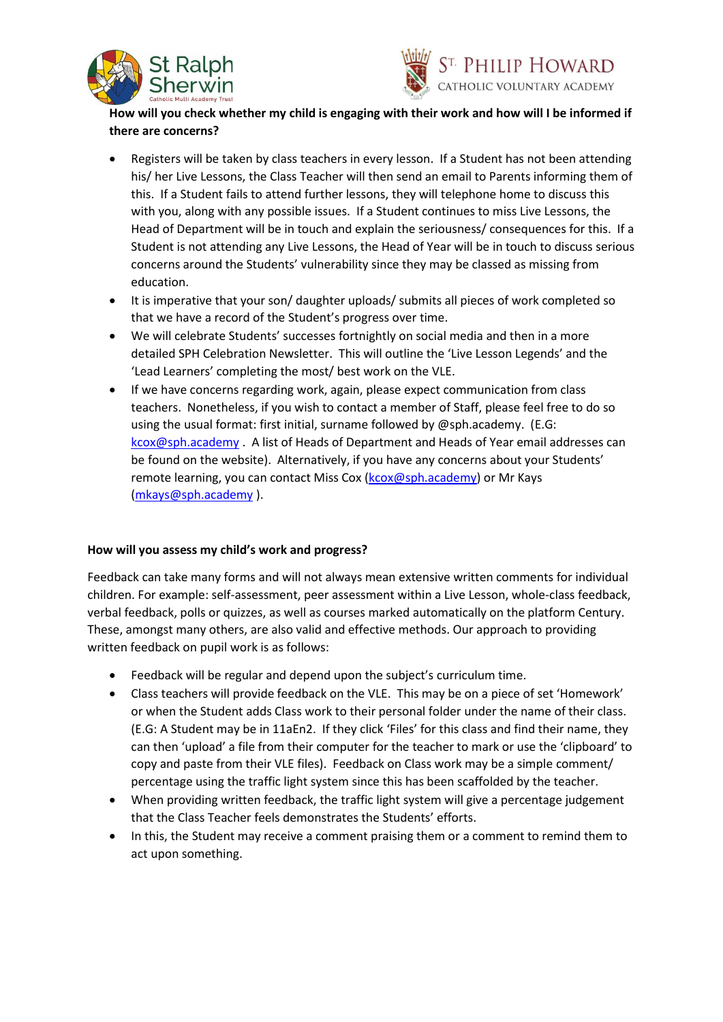



### **How will you check whether my child is engaging with their work and how will I be informed if there are concerns?**

- Registers will be taken by class teachers in every lesson. If a Student has not been attending his/ her Live Lessons, the Class Teacher will then send an email to Parents informing them of this. If a Student fails to attend further lessons, they will telephone home to discuss this with you, along with any possible issues. If a Student continues to miss Live Lessons, the Head of Department will be in touch and explain the seriousness/ consequences for this. If a Student is not attending any Live Lessons, the Head of Year will be in touch to discuss serious concerns around the Students' vulnerability since they may be classed as missing from education.
- It is imperative that your son/ daughter uploads/ submits all pieces of work completed so that we have a record of the Student's progress over time.
- We will celebrate Students' successes fortnightly on social media and then in a more detailed SPH Celebration Newsletter. This will outline the 'Live Lesson Legends' and the 'Lead Learners' completing the most/ best work on the VLE.
- If we have concerns regarding work, again, please expect communication from class teachers. Nonetheless, if you wish to contact a member of Staff, please feel free to do so using the usual format: first initial, surname followed by @sph.academy. (E.G: [kcox@sph.academy](mailto:kcox@sph.academy) . A list of Heads of Department and Heads of Year email addresses can be found on the website). Alternatively, if you have any concerns about your Students' remote learning, you can contact Miss Cox [\(kcox@sph.academy\)](mailto:kcox@sph.academy) or Mr Kays [\(mkays@sph.academy](mailto:mkays@sph.academy) ).

### **How will you assess my child's work and progress?**

Feedback can take many forms and will not always mean extensive written comments for individual children. For example: self-assessment, peer assessment within a Live Lesson, whole-class feedback, verbal feedback, polls or quizzes, as well as courses marked automatically on the platform Century. These, amongst many others, are also valid and effective methods. Our approach to providing written feedback on pupil work is as follows:

- Feedback will be regular and depend upon the subject's curriculum time.
- Class teachers will provide feedback on the VLE. This may be on a piece of set 'Homework' or when the Student adds Class work to their personal folder under the name of their class. (E.G: A Student may be in 11aEn2. If they click 'Files' for this class and find their name, they can then 'upload' a file from their computer for the teacher to mark or use the 'clipboard' to copy and paste from their VLE files). Feedback on Class work may be a simple comment/ percentage using the traffic light system since this has been scaffolded by the teacher.
- When providing written feedback, the traffic light system will give a percentage judgement that the Class Teacher feels demonstrates the Students' efforts.
- In this, the Student may receive a comment praising them or a comment to remind them to act upon something.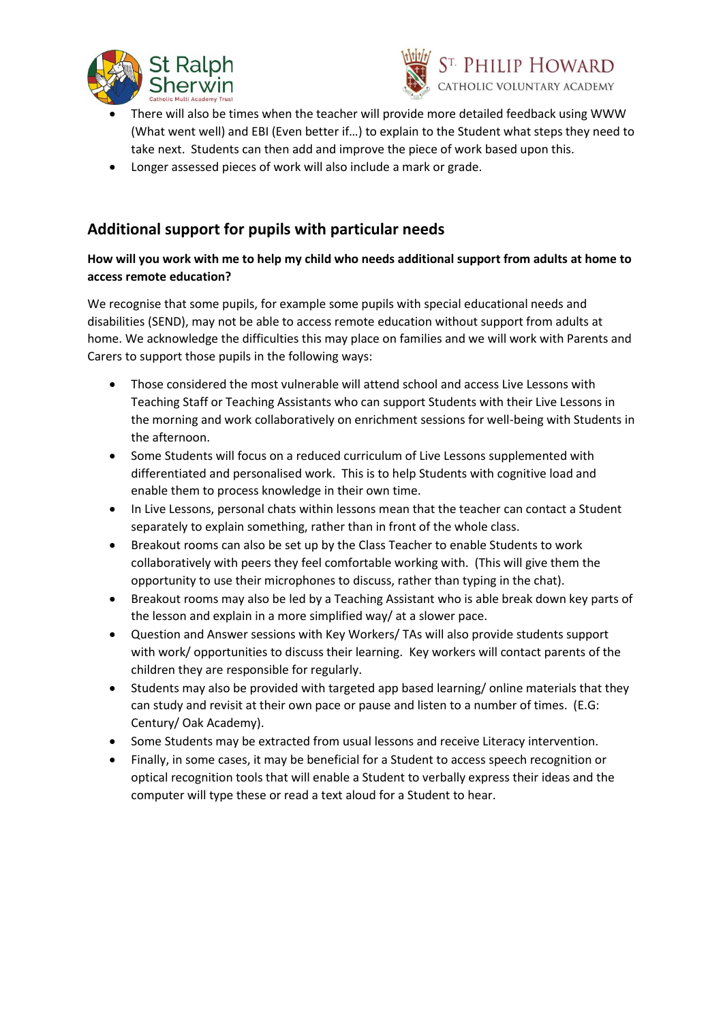



- There will also be times when the teacher will provide more detailed feedback using WWW (What went well) and EBI (Even better if…) to explain to the Student what steps they need to take next. Students can then add and improve the piece of work based upon this.
- Longer assessed pieces of work will also include a mark or grade.

# **Additional support for pupils with particular needs**

### **How will you work with me to help my child who needs additional support from adults at home to access remote education?**

We recognise that some pupils, for example some pupils with special educational needs and disabilities (SEND), may not be able to access remote education without support from adults at home. We acknowledge the difficulties this may place on families and we will work with Parents and Carers to support those pupils in the following ways:

- Those considered the most vulnerable will attend school and access Live Lessons with Teaching Staff or Teaching Assistants who can support Students with their Live Lessons in the morning and work collaboratively on enrichment sessions for well-being with Students in the afternoon.
- Some Students will focus on a reduced curriculum of Live Lessons supplemented with differentiated and personalised work. This is to help Students with cognitive load and enable them to process knowledge in their own time.
- In Live Lessons, personal chats within lessons mean that the teacher can contact a Student separately to explain something, rather than in front of the whole class.
- Breakout rooms can also be set up by the Class Teacher to enable Students to work collaboratively with peers they feel comfortable working with. (This will give them the opportunity to use their microphones to discuss, rather than typing in the chat).
- Breakout rooms may also be led by a Teaching Assistant who is able break down key parts of the lesson and explain in a more simplified way/ at a slower pace.
- Question and Answer sessions with Key Workers/ TAs will also provide students support with work/ opportunities to discuss their learning. Key workers will contact parents of the children they are responsible for regularly.
- Students may also be provided with targeted app based learning/ online materials that they can study and revisit at their own pace or pause and listen to a number of times. (E.G: Century/ Oak Academy).
- Some Students may be extracted from usual lessons and receive Literacy intervention.
- Finally, in some cases, it may be beneficial for a Student to access speech recognition or optical recognition tools that will enable a Student to verbally express their ideas and the computer will type these or read a text aloud for a Student to hear.